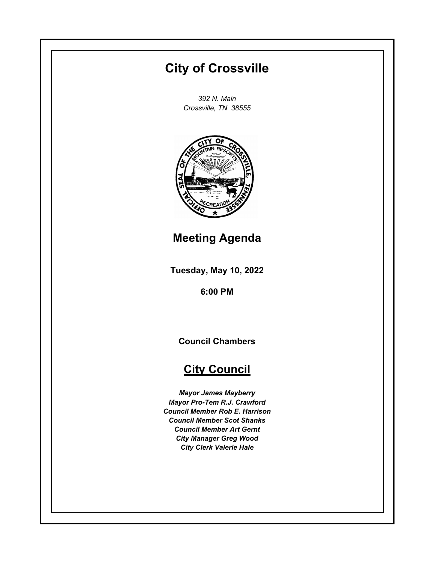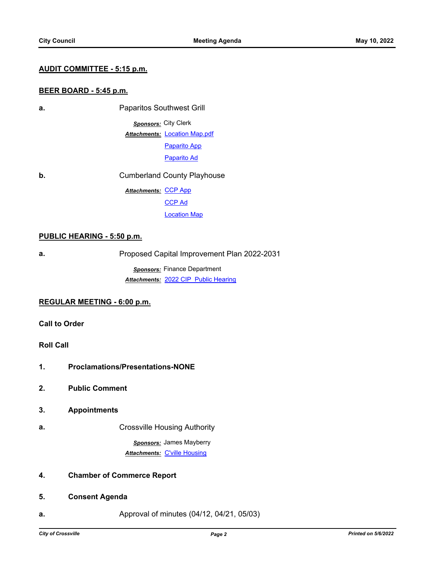#### **AUDIT COMMITTEE - 5:15 p.m.**

## **BEER BOARD - 5:45 p.m.**

**a.** Paparitos Southwest Grill *Sponsors:* City Clerk

**Attachments: [Location Map.pdf](http://Crossvilletn.legistar.com/gateway.aspx?M=F&ID=499562f1-ea95-44c1-ad17-ecb96cc60a72.pdf)** 

[Paparito App](http://Crossvilletn.legistar.com/gateway.aspx?M=F&ID=c83b26ec-69e7-47ad-af9c-5f63eb03e527.pdf) [Paparito Ad](http://Crossvilletn.legistar.com/gateway.aspx?M=F&ID=9d396341-9f91-486b-bef8-49227a7cab63.pdf)

**b.** Cumberland County Playhouse Attachments: [CCP App](http://Crossvilletn.legistar.com/gateway.aspx?M=F&ID=b369136a-da7b-4644-a6f5-e8de418b4323.pdf) [CCP Ad](http://Crossvilletn.legistar.com/gateway.aspx?M=F&ID=cb9d17b2-a02b-4fc0-962c-56160743cdd9.pdf) [Location Map](http://Crossvilletn.legistar.com/gateway.aspx?M=F&ID=442df13f-f93b-4da6-933b-485c7b34ad4c.pdf)

#### **PUBLIC HEARING - 5:50 p.m.**

**a. Proposed Capital Improvement Plan 2022-2031** 

*Sponsors:* Finance Department *Attachments:* [2022 CIP Public Hearing](http://Crossvilletn.legistar.com/gateway.aspx?M=F&ID=e94c2cce-7b5a-4714-9861-c447eb5f68e0.pdf)

#### **REGULAR MEETING - 6:00 p.m.**

**Call to Order**

# **Roll Call**

- **1. Proclamations/Presentations-NONE**
- **2. Public Comment**
- **3. Appointments**
- **a. a. Crossville Housing Authority**

*Sponsors:* James Mayberry *Attachments:* [C'ville Housing](http://Crossvilletn.legistar.com/gateway.aspx?M=F&ID=0cc7d415-f334-47f4-afd4-94e0ee3015d2.pdf)

# **4. Chamber of Commerce Report**

## **5. Consent Agenda**

**a. Approval of minutes (04/12, 04/21, 05/03)**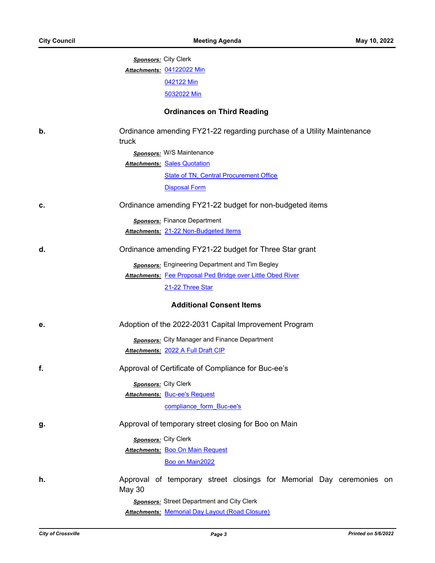|    | <b>Sponsors: City Clerk</b>                                                           |
|----|---------------------------------------------------------------------------------------|
|    | Attachments: 04122022 Min                                                             |
|    | 042122 Min                                                                            |
|    | 5032022 Min                                                                           |
|    | <b>Ordinances on Third Reading</b>                                                    |
| b. | Ordinance amending FY21-22 regarding purchase of a Utility Maintenance<br>truck       |
|    | <b>Sponsors:</b> W/S Maintenance                                                      |
|    | <b>Attachments: Sales Quotation</b>                                                   |
|    | <b>State of TN, Central Procurement Office</b>                                        |
|    | <b>Disposal Form</b>                                                                  |
| c. | Ordinance amending FY21-22 budget for non-budgeted items                              |
|    | Sponsors: Finance Department                                                          |
|    | Attachments: 21-22 Non-Budgeted Items                                                 |
| d. | Ordinance amending FY21-22 budget for Three Star grant                                |
|    | <b>Sponsors:</b> Engineering Department and Tim Begley                                |
|    | <b>Attachments: Fee Proposal Ped Bridge over Little Obed River</b>                    |
|    | 21-22 Three Star                                                                      |
|    | <b>Additional Consent Items</b>                                                       |
| е. | Adoption of the 2022-2031 Capital Improvement Program                                 |
|    | Sponsors: City Manager and Finance Department                                         |
|    | <b>Attachments: 2022 A Full Draft CIP</b>                                             |
| f. | Approval of Certificate of Compliance for Buc-ee's                                    |
|    | Sponsors: City Clerk                                                                  |
|    | <b>Attachments: Buc-ee's Request</b>                                                  |
|    | compliance_form_Buc-ee's                                                              |
| g. | Approval of temporary street closing for Boo on Main                                  |
|    | Sponsors: City Clerk                                                                  |
|    | <b>Attachments: Boo On Main Request</b>                                               |
|    | Boo on Main2022                                                                       |
| h. | Approval of temporary street closings for Memorial Day ceremonies on<br><b>May 30</b> |
|    | <b>Sponsors:</b> Street Department and City Clerk                                     |
|    | <b>Attachments: Memorial Day Layout (Road Closure)</b>                                |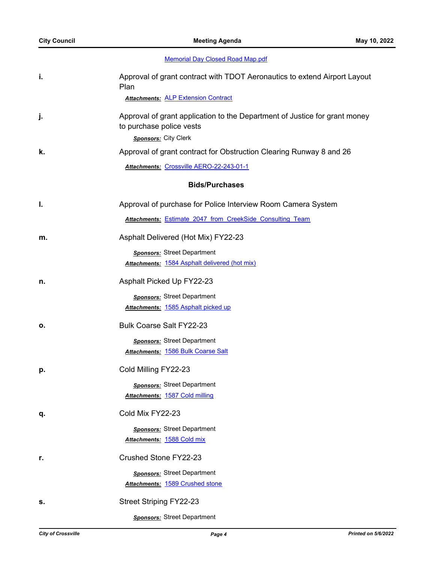[Memorial Day Closed Road Map.pdf](http://Crossvilletn.legistar.com/gateway.aspx?M=F&ID=2d29991f-90d3-41c2-8017-f41cf5e1d8cb.pdf)

| i. | Approval of grant contract with TDOT Aeronautics to extend Airport Layout<br>Plan<br><b>Attachments: ALP Extension Contract</b> |
|----|---------------------------------------------------------------------------------------------------------------------------------|
| j. | Approval of grant application to the Department of Justice for grant money<br>to purchase police vests<br>Sponsors: City Clerk  |
| k. | Approval of grant contract for Obstruction Clearing Runway 8 and 26                                                             |
|    | Attachments: Crossville AERO-22-243-01-1                                                                                        |
|    | <b>Bids/Purchases</b>                                                                                                           |
| I. | Approval of purchase for Police Interview Room Camera System                                                                    |
|    | Attachments: Estimate_2047_from_CreekSide_Consulting_Team                                                                       |
| m. | Asphalt Delivered (Hot Mix) FY22-23                                                                                             |
|    | Sponsors: Street Department                                                                                                     |
|    | <b>Attachments: 1584 Asphalt delivered (hot mix)</b>                                                                            |
| n. | Asphalt Picked Up FY22-23                                                                                                       |
|    | <b>Sponsors:</b> Street Department                                                                                              |
|    | Attachments: 1585 Asphalt picked up                                                                                             |
| о. | <b>Bulk Coarse Salt FY22-23</b>                                                                                                 |
|    | Sponsors: Street Department                                                                                                     |
|    | Attachments: 1586 Bulk Coarse Salt                                                                                              |
| p. | Cold Milling FY22-23                                                                                                            |
|    | <b>Sponsors:</b> Street Department                                                                                              |
|    | Attachments: 1587 Cold milling                                                                                                  |
| q. | Cold Mix FY22-23                                                                                                                |
|    | <b>Sponsors:</b> Street Department                                                                                              |
|    | <u>Attachments: 1588 Cold mix</u>                                                                                               |
| r. | Crushed Stone FY22-23                                                                                                           |
|    | <b>Sponsors:</b> Street Department                                                                                              |
|    | Attachments: 1589 Crushed stone                                                                                                 |
| s. | <b>Street Striping FY22-23</b>                                                                                                  |
|    | <b>Sponsors:</b> Street Department                                                                                              |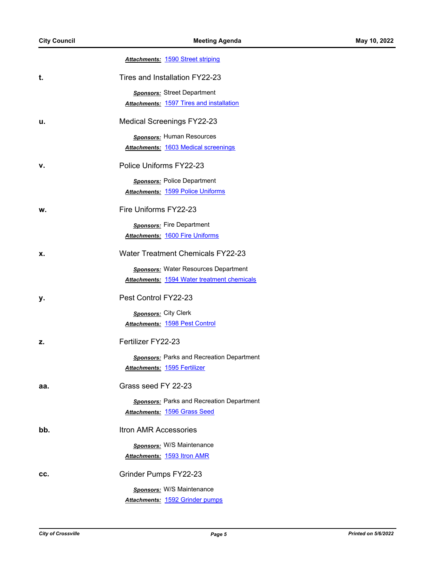|     | <b>Attachments: 1590 Street striping</b>           |
|-----|----------------------------------------------------|
| t.  | Tires and Installation FY22-23                     |
|     | <b>Sponsors:</b> Street Department                 |
|     | <b>Attachments: 1597 Tires and installation</b>    |
| u.  | <b>Medical Screenings FY22-23</b>                  |
|     | <b>Sponsors:</b> Human Resources                   |
|     | <b>Attachments: 1603 Medical screenings</b>        |
| v.  | Police Uniforms FY22-23                            |
|     | <b>Sponsors:</b> Police Department                 |
|     | <b>Attachments: 1599 Police Uniforms</b>           |
| w.  | Fire Uniforms FY22-23                              |
|     | Sponsors: Fire Department                          |
|     | <b>Attachments: 1600 Fire Uniforms</b>             |
| х.  | <b>Water Treatment Chemicals FY22-23</b>           |
|     | <b>Sponsors: Water Resources Department</b>        |
|     | <b>Attachments: 1594 Water treatment chemicals</b> |
| у.  | Pest Control FY22-23                               |
|     | <b>Sponsors:</b> City Clerk                        |
|     | <b>Attachments: 1598 Pest Control</b>              |
| z.  | Fertilizer FY22-23                                 |
|     | <b>Sponsors:</b> Parks and Recreation Department   |
|     | Attachments: 1595 Fertilizer                       |
| aa. | Grass seed FY 22-23                                |
|     | <b>Sponsors: Parks and Recreation Department</b>   |
|     | <b>Attachments: 1596 Grass Seed</b>                |
| bb. | <b>Itron AMR Accessories</b>                       |
|     | <b>Sponsors: W/S Maintenance</b>                   |
|     | <b>Attachments: 1593 Itron AMR</b>                 |
| CC. | Grinder Pumps FY22-23                              |
|     | Sponsors: W/S Maintenance                          |
|     | Attachments: 1592 Grinder pumps                    |